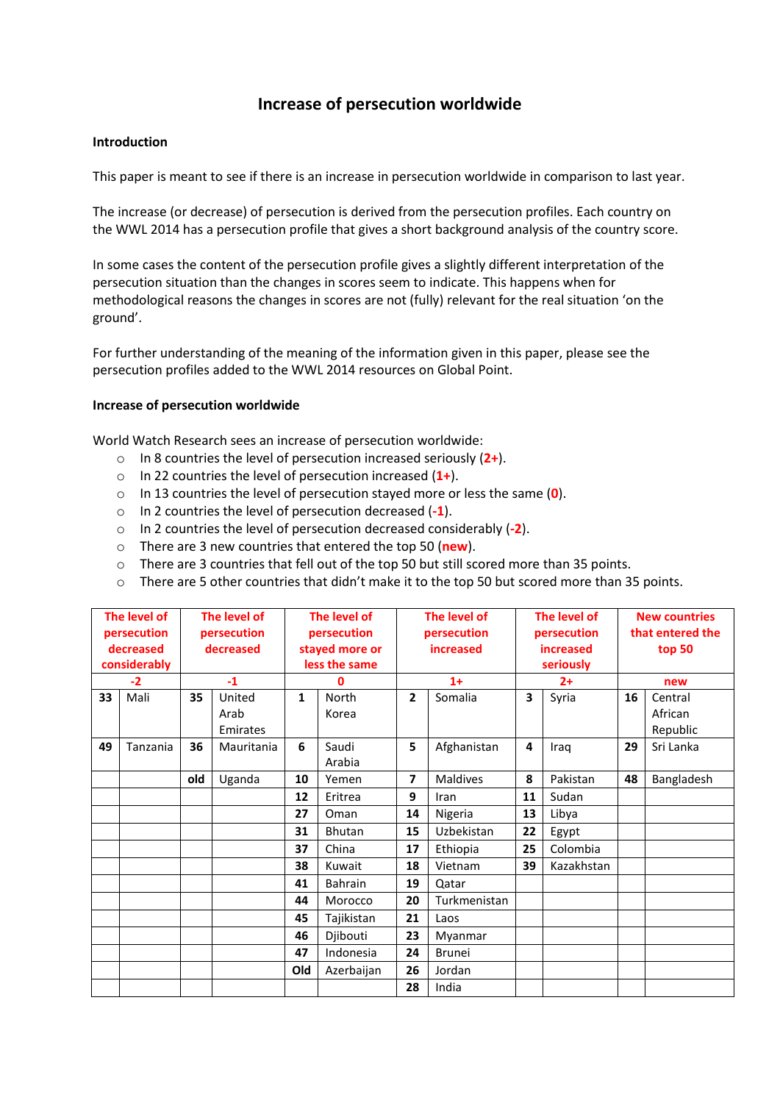# **Increase of persecution worldwide**

#### **Introduction**

This paper is meant to see if there is an increase in persecution worldwide in comparison to last year.

The increase (or decrease) of persecution is derived from the persecution profiles. Each country on the WWL 2014 has a persecution profile that gives a short background analysis of the country score.

In some cases the content of the persecution profile gives a slightly different interpretation of the persecution situation than the changes in scores seem to indicate. This happens when for methodological reasons the changes in scores are not (fully) relevant for the real situation 'on the ground'.

For further understanding of the meaning of the information given in this paper, please see the persecution profiles added to the WWL 2014 resources on Global Point.

### **Increase of persecution worldwide**

World Watch Research sees an increase of persecution worldwide:

- o In 8 countries the level of persecution increased seriously (**2+**).
- o In 22 countries the level of persecution increased (**1+**).
- o In 13 countries the level of persecution stayed more or less the same (**0**).
- o In 2 countries the level of persecution decreased (**-1**).
- o In 2 countries the level of persecution decreased considerably (**-2**).
- o There are 3 new countries that entered the top 50 (**new**).
- o There are 3 countries that fell out of the top 50 but still scored more than 35 points.
- o There are 5 other countries that didn't make it to the top 50 but scored more than 35 points.

| The level of<br>persecution<br>decreased<br>considerably |          | The level of<br>persecution<br>decreased |            | The level of<br>persecution<br>stayed more or<br>less the same |                | The level of<br>persecution<br>increased |                 | The level of<br>persecution<br><b>increased</b><br>seriously |            | <b>New countries</b><br>that entered the<br>top 50 |            |
|----------------------------------------------------------|----------|------------------------------------------|------------|----------------------------------------------------------------|----------------|------------------------------------------|-----------------|--------------------------------------------------------------|------------|----------------------------------------------------|------------|
| $-2$                                                     |          | $-1$                                     |            | 0                                                              |                | $1+$                                     |                 | $2+$                                                         |            | new                                                |            |
| 33                                                       | Mali     | 35                                       | United     | 1                                                              | North          | $\overline{2}$                           | Somalia         | 3                                                            | Syria      | 16                                                 | Central    |
|                                                          |          |                                          | Arab       |                                                                | Korea          |                                          |                 |                                                              |            |                                                    | African    |
|                                                          |          |                                          | Emirates   |                                                                |                |                                          |                 |                                                              |            |                                                    | Republic   |
| 49                                                       | Tanzania | 36                                       | Mauritania | 6                                                              | Saudi          | 5                                        | Afghanistan     | 4                                                            | Iraq       | 29                                                 | Sri Lanka  |
|                                                          |          |                                          |            |                                                                | Arabia         |                                          |                 |                                                              |            |                                                    |            |
|                                                          |          | old                                      | Uganda     | 10                                                             | Yemen          | 7                                        | <b>Maldives</b> | 8                                                            | Pakistan   | 48                                                 | Bangladesh |
|                                                          |          |                                          |            | 12                                                             | Eritrea        | 9                                        | Iran            | 11                                                           | Sudan      |                                                    |            |
|                                                          |          |                                          |            | 27                                                             | Oman           | 14                                       | Nigeria         | 13                                                           | Libya      |                                                    |            |
|                                                          |          |                                          |            | 31                                                             | <b>Bhutan</b>  | 15                                       | Uzbekistan      | 22                                                           | Egypt      |                                                    |            |
|                                                          |          |                                          |            | 37                                                             | China          | 17                                       | Ethiopia        | 25                                                           | Colombia   |                                                    |            |
|                                                          |          |                                          |            | 38                                                             | Kuwait         | 18                                       | Vietnam         | 39                                                           | Kazakhstan |                                                    |            |
|                                                          |          |                                          |            | 41                                                             | <b>Bahrain</b> | 19                                       | Qatar           |                                                              |            |                                                    |            |
|                                                          |          |                                          |            | 44                                                             | Morocco        | 20                                       | Turkmenistan    |                                                              |            |                                                    |            |
|                                                          |          |                                          |            | 45                                                             | Tajikistan     | 21                                       | Laos            |                                                              |            |                                                    |            |
|                                                          |          |                                          |            | 46                                                             | Djibouti       | 23                                       | Myanmar         |                                                              |            |                                                    |            |
|                                                          |          |                                          |            | 47                                                             | Indonesia      | 24                                       | <b>Brunei</b>   |                                                              |            |                                                    |            |
|                                                          |          |                                          |            | Old                                                            | Azerbaijan     | 26                                       | Jordan          |                                                              |            |                                                    |            |
|                                                          |          |                                          |            |                                                                |                | 28                                       | India           |                                                              |            |                                                    |            |